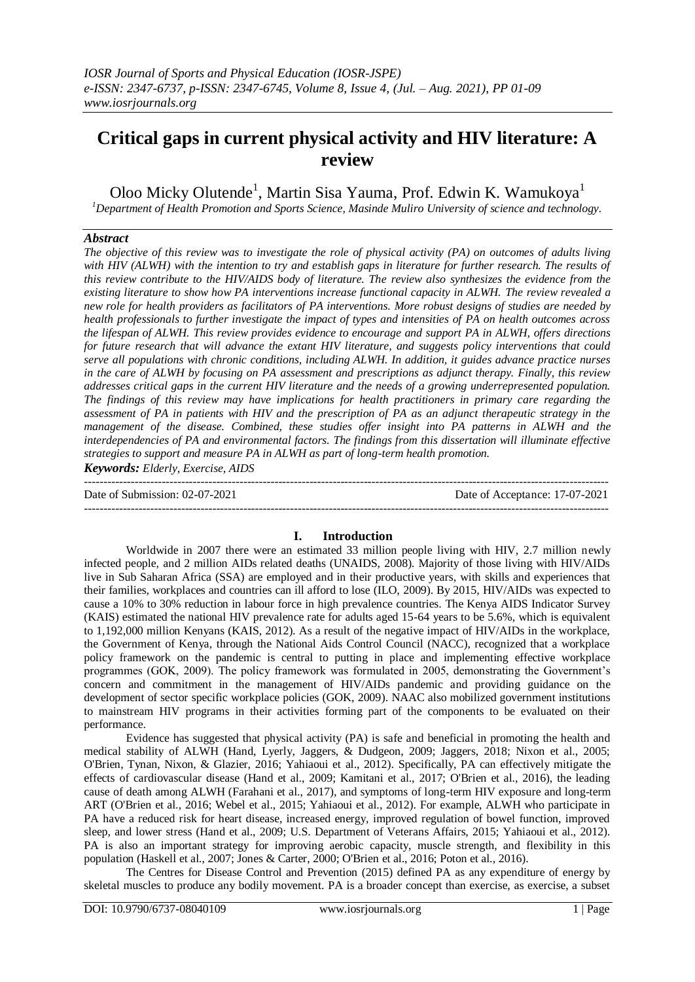# **Critical gaps in current physical activity and HIV literature: A review**

Oloo Micky Olutende<sup>1</sup>, Martin Sisa Yauma, Prof. Edwin K. Wamukoya<sup>1</sup> *<sup>1</sup>Department of Health Promotion and Sports Science, Masinde Muliro University of science and technology.*

# *Abstract*

*The objective of this review was to investigate the role of physical activity (PA) on outcomes of adults living with HIV (ALWH) with the intention to try and establish gaps in literature for further research. The results of this review contribute to the HIV/AIDS body of literature. The review also synthesizes the evidence from the existing literature to show how PA interventions increase functional capacity in ALWH. The review revealed a new role for health providers as facilitators of PA interventions. More robust designs of studies are needed by health professionals to further investigate the impact of types and intensities of PA on health outcomes across the lifespan of ALWH. This review provides evidence to encourage and support PA in ALWH, offers directions for future research that will advance the extant HIV literature, and suggests policy interventions that could serve all populations with chronic conditions, including ALWH. In addition, it guides advance practice nurses in the care of ALWH by focusing on PA assessment and prescriptions as adjunct therapy. Finally, this review addresses critical gaps in the current HIV literature and the needs of a growing underrepresented population. The findings of this review may have implications for health practitioners in primary care regarding the assessment of PA in patients with HIV and the prescription of PA as an adjunct therapeutic strategy in the management of the disease. Combined, these studies offer insight into PA patterns in ALWH and the interdependencies of PA and environmental factors. The findings from this dissertation will illuminate effective strategies to support and measure PA in ALWH as part of long-term health promotion.*

*Keywords: Elderly, Exercise, AIDS* 

--------------------------------------------------------------------------------------------------------------------------------------- Date of Submission: 02-07-2021 Date of Acceptance: 17-07-2021 ---------------------------------------------------------------------------------------------------------------------------------------

# **I. Introduction**

Worldwide in 2007 there were an estimated 33 million people living with HIV, 2.7 million newly infected people, and 2 million AIDs related deaths (UNAIDS, 2008). Majority of those living with HIV/AIDs live in Sub Saharan Africa (SSA) are employed and in their productive years, with skills and experiences that their families, workplaces and countries can ill afford to lose (ILO, 2009). By 2015, HIV/AIDs was expected to cause a 10% to 30% reduction in labour force in high prevalence countries. The Kenya AIDS Indicator Survey (KAIS) estimated the national HIV prevalence rate for adults aged 15-64 years to be 5.6%, which is equivalent to 1,192,000 million Kenyans (KAIS, 2012). As a result of the negative impact of HIV/AIDs in the workplace, the Government of Kenya, through the National Aids Control Council (NACC), recognized that a workplace policy framework on the pandemic is central to putting in place and implementing effective workplace programmes (GOK, 2009). The policy framework was formulated in 2005, demonstrating the Government's concern and commitment in the management of HIV/AIDs pandemic and providing guidance on the development of sector specific workplace policies (GOK, 2009). NAAC also mobilized government institutions to mainstream HIV programs in their activities forming part of the components to be evaluated on their performance.

Evidence has suggested that physical activity (PA) is safe and beneficial in promoting the health and medical stability of ALWH (Hand, Lyerly, Jaggers, & Dudgeon, 2009; Jaggers, 2018; Nixon et al., 2005; O'Brien, Tynan, Nixon, & Glazier, 2016; Yahiaoui et al., 2012). Specifically, PA can effectively mitigate the effects of cardiovascular disease (Hand et al., 2009; Kamitani et al., 2017; O'Brien et al., 2016), the leading cause of death among ALWH (Farahani et al., 2017), and symptoms of long-term HIV exposure and long-term ART (O'Brien et al., 2016; Webel et al., 2015; Yahiaoui et al., 2012). For example, ALWH who participate in PA have a reduced risk for heart disease, increased energy, improved regulation of bowel function, improved sleep, and lower stress (Hand et al., 2009; U.S. Department of Veterans Affairs, 2015; Yahiaoui et al., 2012). PA is also an important strategy for improving aerobic capacity, muscle strength, and flexibility in this population (Haskell et al., 2007; Jones & Carter, 2000; O'Brien et al., 2016; Poton et al., 2016).

The Centres for Disease Control and Prevention (2015) defined PA as any expenditure of energy by skeletal muscles to produce any bodily movement. PA is a broader concept than exercise, as exercise, a subset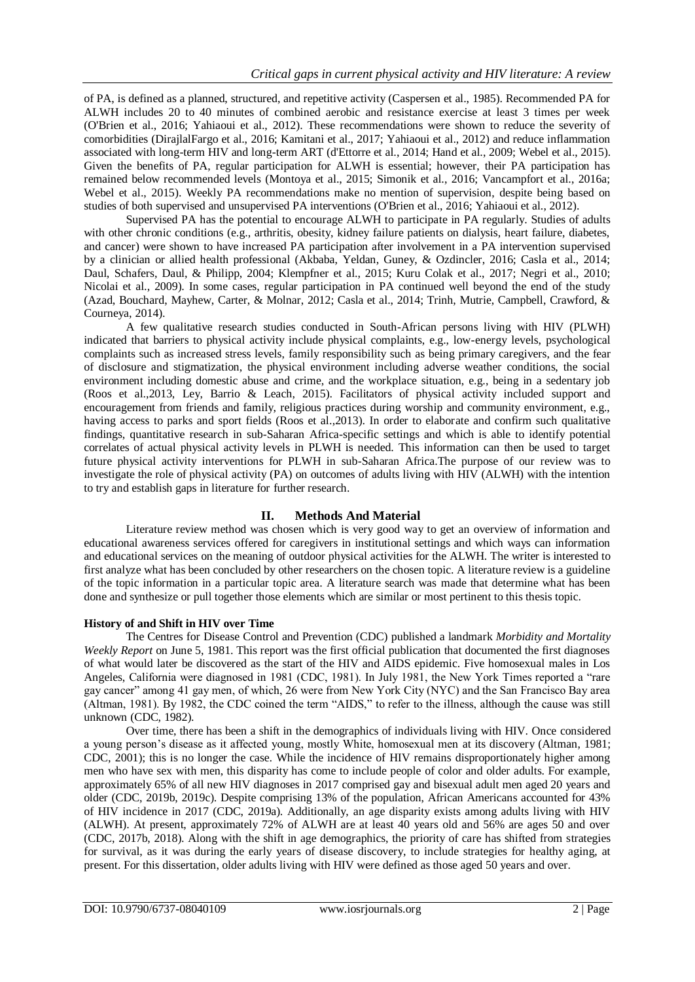of PA, is defined as a planned, structured, and repetitive activity (Caspersen et al., 1985). Recommended PA for ALWH includes 20 to 40 minutes of combined aerobic and resistance exercise at least 3 times per week (O'Brien et al., 2016; Yahiaoui et al., 2012). These recommendations were shown to reduce the severity of comorbidities (DirajlalFargo et al., 2016; Kamitani et al., 2017; Yahiaoui et al., 2012) and reduce inflammation associated with long-term HIV and long-term ART (d'Ettorre et al., 2014; Hand et al., 2009; Webel et al., 2015). Given the benefits of PA, regular participation for ALWH is essential; however, their PA participation has remained below recommended levels (Montoya et al., 2015; Simonik et al., 2016; Vancampfort et al., 2016a; Webel et al., 2015). Weekly PA recommendations make no mention of supervision, despite being based on studies of both supervised and unsupervised PA interventions (O'Brien et al., 2016; Yahiaoui et al., 2012).

Supervised PA has the potential to encourage ALWH to participate in PA regularly. Studies of adults with other chronic conditions (e.g., arthritis, obesity, kidney failure patients on dialysis, heart failure, diabetes, and cancer) were shown to have increased PA participation after involvement in a PA intervention supervised by a clinician or allied health professional (Akbaba, Yeldan, Guney, & Ozdincler, 2016; Casla et al., 2014; Daul, Schafers, Daul, & Philipp, 2004; Klempfner et al., 2015; Kuru Colak et al., 2017; Negri et al., 2010; Nicolai et al., 2009). In some cases, regular participation in PA continued well beyond the end of the study (Azad, Bouchard, Mayhew, Carter, & Molnar, 2012; Casla et al., 2014; Trinh, Mutrie, Campbell, Crawford, & Courneya, 2014).

A few qualitative research studies conducted in South-African persons living with HIV (PLWH) indicated that barriers to physical activity include physical complaints, e.g., low-energy levels, psychological complaints such as increased stress levels, family responsibility such as being primary caregivers, and the fear of disclosure and stigmatization, the physical environment including adverse weather conditions, the social environment including domestic abuse and crime, and the workplace situation, e.g., being in a sedentary job (Roos et al.,2013, Ley, Barrio & Leach, 2015). Facilitators of physical activity included support and encouragement from friends and family, religious practices during worship and community environment, e.g., having access to parks and sport fields (Roos et al.,2013). In order to elaborate and confirm such qualitative findings, quantitative research in sub-Saharan Africa-specific settings and which is able to identify potential correlates of actual physical activity levels in PLWH is needed. This information can then be used to target future physical activity interventions for PLWH in sub-Saharan Africa.The purpose of our review was to investigate the role of physical activity (PA) on outcomes of adults living with HIV (ALWH) with the intention to try and establish gaps in literature for further research.

# **II. Methods And Material**

Literature review method was chosen which is very good way to get an overview of information and educational awareness services offered for caregivers in institutional settings and which ways can information and educational services on the meaning of outdoor physical activities for the ALWH. The writer is interested to first analyze what has been concluded by other researchers on the chosen topic. A literature review is a guideline of the topic information in a particular topic area. A literature search was made that determine what has been done and synthesize or pull together those elements which are similar or most pertinent to this thesis topic.

# **History of and Shift in HIV over Time**

The Centres for Disease Control and Prevention (CDC) published a landmark *Morbidity and Mortality Weekly Report* on June 5, 1981. This report was the first official publication that documented the first diagnoses of what would later be discovered as the start of the HIV and AIDS epidemic. Five homosexual males in Los Angeles, California were diagnosed in 1981 (CDC, 1981). In July 1981, the New York Times reported a "rare gay cancer" among 41 gay men, of which, 26 were from New York City (NYC) and the San Francisco Bay area (Altman, 1981). By 1982, the CDC coined the term "AIDS," to refer to the illness, although the cause was still unknown (CDC, 1982).

Over time, there has been a shift in the demographics of individuals living with HIV. Once considered a young person's disease as it affected young, mostly White, homosexual men at its discovery (Altman, 1981; CDC, 2001); this is no longer the case. While the incidence of HIV remains disproportionately higher among men who have sex with men, this disparity has come to include people of color and older adults. For example, approximately 65% of all new HIV diagnoses in 2017 comprised gay and bisexual adult men aged 20 years and older (CDC, 2019b, 2019c). Despite comprising 13% of the population, African Americans accounted for 43% of HIV incidence in 2017 (CDC, 2019a). Additionally, an age disparity exists among adults living with HIV (ALWH). At present, approximately 72% of ALWH are at least 40 years old and 56% are ages 50 and over (CDC, 2017b, 2018). Along with the shift in age demographics, the priority of care has shifted from strategies for survival, as it was during the early years of disease discovery, to include strategies for healthy aging, at present. For this dissertation, older adults living with HIV were defined as those aged 50 years and over.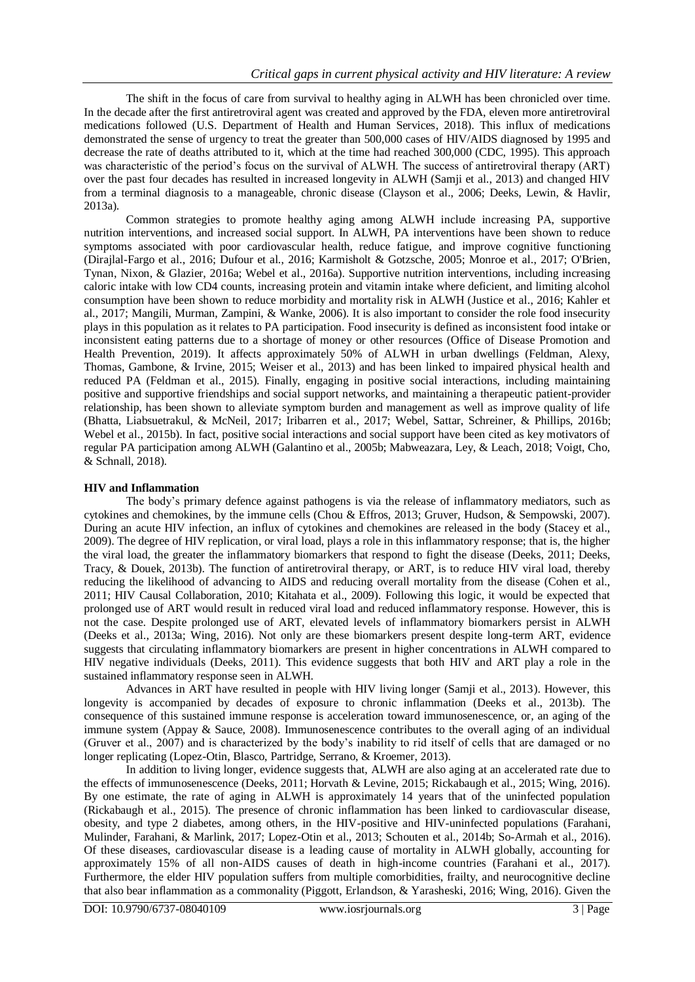The shift in the focus of care from survival to healthy aging in ALWH has been chronicled over time. In the decade after the first antiretroviral agent was created and approved by the FDA, eleven more antiretroviral medications followed (U.S. Department of Health and Human Services, 2018). This influx of medications demonstrated the sense of urgency to treat the greater than 500,000 cases of HIV/AIDS diagnosed by 1995 and decrease the rate of deaths attributed to it, which at the time had reached 300,000 (CDC, 1995). This approach was characteristic of the period's focus on the survival of ALWH. The success of antiretroviral therapy (ART) over the past four decades has resulted in increased longevity in ALWH (Samji et al., 2013) and changed HIV from a terminal diagnosis to a manageable, chronic disease (Clayson et al., 2006; Deeks, Lewin, & Havlir, 2013a).

Common strategies to promote healthy aging among ALWH include increasing PA, supportive nutrition interventions, and increased social support. In ALWH, PA interventions have been shown to reduce symptoms associated with poor cardiovascular health, reduce fatigue, and improve cognitive functioning (Dirajlal-Fargo et al., 2016; Dufour et al., 2016; Karmisholt & Gotzsche, 2005; Monroe et al., 2017; O'Brien, Tynan, Nixon, & Glazier, 2016a; Webel et al., 2016a). Supportive nutrition interventions, including increasing caloric intake with low CD4 counts, increasing protein and vitamin intake where deficient, and limiting alcohol consumption have been shown to reduce morbidity and mortality risk in ALWH (Justice et al., 2016; Kahler et al., 2017; Mangili, Murman, Zampini, & Wanke, 2006). It is also important to consider the role food insecurity plays in this population as it relates to PA participation. Food insecurity is defined as inconsistent food intake or inconsistent eating patterns due to a shortage of money or other resources (Office of Disease Promotion and Health Prevention, 2019). It affects approximately 50% of ALWH in urban dwellings (Feldman, Alexy, Thomas, Gambone, & Irvine, 2015; Weiser et al., 2013) and has been linked to impaired physical health and reduced PA (Feldman et al., 2015). Finally, engaging in positive social interactions, including maintaining positive and supportive friendships and social support networks, and maintaining a therapeutic patient-provider relationship, has been shown to alleviate symptom burden and management as well as improve quality of life (Bhatta, Liabsuetrakul, & McNeil, 2017; Iribarren et al., 2017; Webel, Sattar, Schreiner, & Phillips, 2016b; Webel et al., 2015b). In fact, positive social interactions and social support have been cited as key motivators of regular PA participation among ALWH (Galantino et al., 2005b; Mabweazara, Ley, & Leach, 2018; Voigt, Cho, & Schnall, 2018).

# **HIV and Inflammation**

The body's primary defence against pathogens is via the release of inflammatory mediators, such as cytokines and chemokines, by the immune cells (Chou & Effros, 2013; Gruver, Hudson, & Sempowski, 2007). During an acute HIV infection, an influx of cytokines and chemokines are released in the body (Stacey et al., 2009). The degree of HIV replication, or viral load, plays a role in this inflammatory response; that is, the higher the viral load, the greater the inflammatory biomarkers that respond to fight the disease (Deeks, 2011; Deeks, Tracy, & Douek, 2013b). The function of antiretroviral therapy, or ART, is to reduce HIV viral load, thereby reducing the likelihood of advancing to AIDS and reducing overall mortality from the disease (Cohen et al., 2011; HIV Causal Collaboration, 2010; Kitahata et al., 2009). Following this logic, it would be expected that prolonged use of ART would result in reduced viral load and reduced inflammatory response. However, this is not the case. Despite prolonged use of ART, elevated levels of inflammatory biomarkers persist in ALWH (Deeks et al., 2013a; Wing, 2016). Not only are these biomarkers present despite long-term ART, evidence suggests that circulating inflammatory biomarkers are present in higher concentrations in ALWH compared to HIV negative individuals (Deeks, 2011). This evidence suggests that both HIV and ART play a role in the sustained inflammatory response seen in ALWH.

Advances in ART have resulted in people with HIV living longer (Samji et al., 2013). However, this longevity is accompanied by decades of exposure to chronic inflammation (Deeks et al., 2013b). The consequence of this sustained immune response is acceleration toward immunosenescence, or, an aging of the immune system (Appay & Sauce, 2008). Immunosenescence contributes to the overall aging of an individual (Gruver et al., 2007) and is characterized by the body's inability to rid itself of cells that are damaged or no longer replicating (Lopez-Otin, Blasco, Partridge, Serrano, & Kroemer, 2013).

In addition to living longer, evidence suggests that, ALWH are also aging at an accelerated rate due to the effects of immunosenescence (Deeks, 2011; Horvath & Levine, 2015; Rickabaugh et al., 2015; Wing, 2016). By one estimate, the rate of aging in ALWH is approximately 14 years that of the uninfected population (Rickabaugh et al., 2015). The presence of chronic inflammation has been linked to cardiovascular disease, obesity, and type 2 diabetes, among others, in the HIV-positive and HIV-uninfected populations (Farahani, Mulinder, Farahani, & Marlink, 2017; Lopez-Otin et al., 2013; Schouten et al., 2014b; So-Armah et al., 2016). Of these diseases, cardiovascular disease is a leading cause of mortality in ALWH globally, accounting for approximately 15% of all non-AIDS causes of death in high-income countries (Farahani et al., 2017). Furthermore, the elder HIV population suffers from multiple comorbidities, frailty, and neurocognitive decline that also bear inflammation as a commonality (Piggott, Erlandson, & Yarasheski, 2016; Wing, 2016). Given the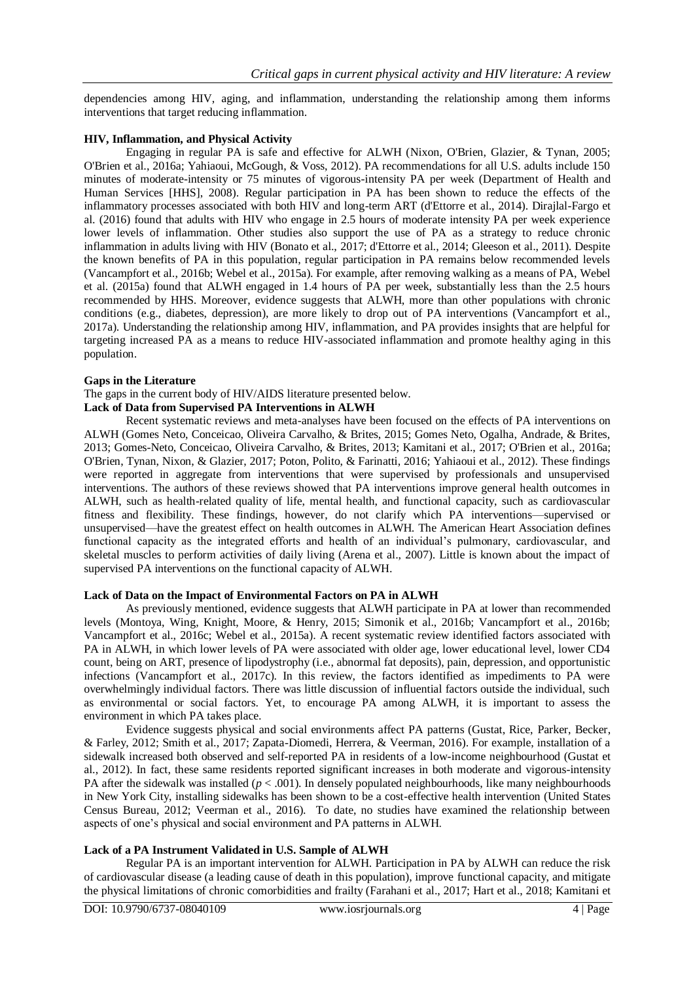dependencies among HIV, aging, and inflammation, understanding the relationship among them informs interventions that target reducing inflammation.

## **HIV, Inflammation, and Physical Activity**

Engaging in regular PA is safe and effective for ALWH (Nixon, O'Brien, Glazier, & Tynan, 2005; O'Brien et al., 2016a; Yahiaoui, McGough, & Voss, 2012). PA recommendations for all U.S. adults include 150 minutes of moderate-intensity or 75 minutes of vigorous-intensity PA per week (Department of Health and Human Services [HHS], 2008). Regular participation in PA has been shown to reduce the effects of the inflammatory processes associated with both HIV and long-term ART (d'Ettorre et al., 2014). Dirajlal-Fargo et al. (2016) found that adults with HIV who engage in 2.5 hours of moderate intensity PA per week experience lower levels of inflammation. Other studies also support the use of PA as a strategy to reduce chronic inflammation in adults living with HIV (Bonato et al., 2017; d'Ettorre et al., 2014; Gleeson et al., 2011). Despite the known benefits of PA in this population, regular participation in PA remains below recommended levels (Vancampfort et al., 2016b; Webel et al., 2015a). For example, after removing walking as a means of PA, Webel et al. (2015a) found that ALWH engaged in 1.4 hours of PA per week, substantially less than the 2.5 hours recommended by HHS. Moreover, evidence suggests that ALWH, more than other populations with chronic conditions (e.g., diabetes, depression), are more likely to drop out of PA interventions (Vancampfort et al., 2017a). Understanding the relationship among HIV, inflammation, and PA provides insights that are helpful for targeting increased PA as a means to reduce HIV-associated inflammation and promote healthy aging in this population.

### **Gaps in the Literature**

The gaps in the current body of HIV/AIDS literature presented below.

# **Lack of Data from Supervised PA Interventions in ALWH**

Recent systematic reviews and meta-analyses have been focused on the effects of PA interventions on ALWH (Gomes Neto, Conceicao, Oliveira Carvalho, & Brites, 2015; Gomes Neto, Ogalha, Andrade, & Brites, 2013; Gomes-Neto, Conceicao, Oliveira Carvalho, & Brites, 2013; Kamitani et al., 2017; O'Brien et al., 2016a; O'Brien, Tynan, Nixon, & Glazier, 2017; Poton, Polito, & Farinatti, 2016; Yahiaoui et al., 2012). These findings were reported in aggregate from interventions that were supervised by professionals and unsupervised interventions. The authors of these reviews showed that PA interventions improve general health outcomes in ALWH, such as health-related quality of life, mental health, and functional capacity, such as cardiovascular fitness and flexibility. These findings, however, do not clarify which PA interventions—supervised or unsupervised—have the greatest effect on health outcomes in ALWH. The American Heart Association defines functional capacity as the integrated efforts and health of an individual's pulmonary, cardiovascular, and skeletal muscles to perform activities of daily living (Arena et al., 2007). Little is known about the impact of supervised PA interventions on the functional capacity of ALWH.

# **Lack of Data on the Impact of Environmental Factors on PA in ALWH**

As previously mentioned, evidence suggests that ALWH participate in PA at lower than recommended levels (Montoya, Wing, Knight, Moore, & Henry, 2015; Simonik et al., 2016b; Vancampfort et al., 2016b; Vancampfort et al., 2016c; Webel et al., 2015a). A recent systematic review identified factors associated with PA in ALWH, in which lower levels of PA were associated with older age, lower educational level, lower CD4 count, being on ART, presence of lipodystrophy (i.e., abnormal fat deposits), pain, depression, and opportunistic infections (Vancampfort et al., 2017c). In this review, the factors identified as impediments to PA were overwhelmingly individual factors. There was little discussion of influential factors outside the individual, such as environmental or social factors. Yet, to encourage PA among ALWH, it is important to assess the environment in which PA takes place.

Evidence suggests physical and social environments affect PA patterns (Gustat, Rice, Parker, Becker, & Farley, 2012; Smith et al., 2017; Zapata-Diomedi, Herrera, & Veerman, 2016). For example, installation of a sidewalk increased both observed and self-reported PA in residents of a low-income neighbourhood (Gustat et al., 2012). In fact, these same residents reported significant increases in both moderate and vigorous-intensity PA after the sidewalk was installed ( $p < .001$ ). In densely populated neighbourhoods, like many neighbourhoods in New York City, installing sidewalks has been shown to be a cost-effective health intervention (United States Census Bureau, 2012; Veerman et al., 2016). To date, no studies have examined the relationship between aspects of one's physical and social environment and PA patterns in ALWH.

# **Lack of a PA Instrument Validated in U.S. Sample of ALWH**

Regular PA is an important intervention for ALWH. Participation in PA by ALWH can reduce the risk of cardiovascular disease (a leading cause of death in this population), improve functional capacity, and mitigate the physical limitations of chronic comorbidities and frailty (Farahani et al., 2017; Hart et al., 2018; Kamitani et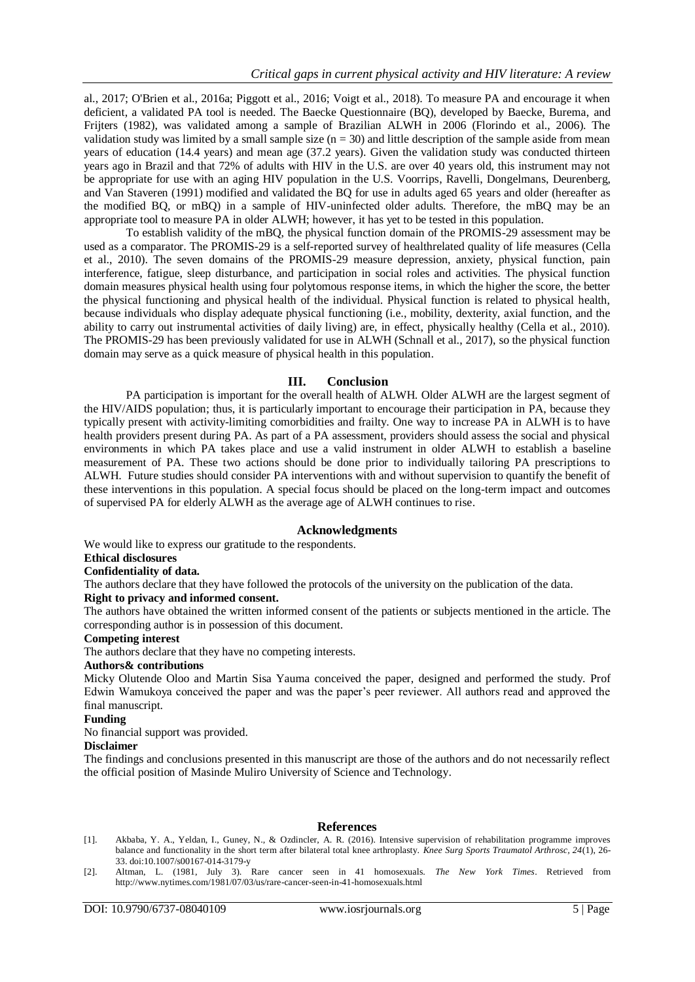al., 2017; O'Brien et al., 2016a; Piggott et al., 2016; Voigt et al., 2018). To measure PA and encourage it when deficient, a validated PA tool is needed. The Baecke Questionnaire (BQ), developed by Baecke, Burema, and Frijters (1982), was validated among a sample of Brazilian ALWH in 2006 (Florindo et al., 2006). The validation study was limited by a small sample size  $(n = 30)$  and little description of the sample aside from mean years of education (14.4 years) and mean age (37.2 years). Given the validation study was conducted thirteen years ago in Brazil and that 72% of adults with HIV in the U.S. are over 40 years old, this instrument may not be appropriate for use with an aging HIV population in the U.S. Voorrips, Ravelli, Dongelmans, Deurenberg, and Van Staveren (1991) modified and validated the BQ for use in adults aged 65 years and older (hereafter as the modified BQ, or mBQ) in a sample of HIV-uninfected older adults. Therefore, the mBQ may be an appropriate tool to measure PA in older ALWH; however, it has yet to be tested in this population.

To establish validity of the mBQ, the physical function domain of the PROMIS-29 assessment may be used as a comparator. The PROMIS-29 is a self-reported survey of healthrelated quality of life measures (Cella et al., 2010). The seven domains of the PROMIS-29 measure depression, anxiety, physical function, pain interference, fatigue, sleep disturbance, and participation in social roles and activities. The physical function domain measures physical health using four polytomous response items, in which the higher the score, the better the physical functioning and physical health of the individual. Physical function is related to physical health, because individuals who display adequate physical functioning (i.e., mobility, dexterity, axial function, and the ability to carry out instrumental activities of daily living) are, in effect, physically healthy (Cella et al., 2010). The PROMIS-29 has been previously validated for use in ALWH (Schnall et al., 2017), so the physical function domain may serve as a quick measure of physical health in this population.

# **III. Conclusion**

PA participation is important for the overall health of ALWH. Older ALWH are the largest segment of the HIV/AIDS population; thus, it is particularly important to encourage their participation in PA, because they typically present with activity-limiting comorbidities and frailty. One way to increase PA in ALWH is to have health providers present during PA. As part of a PA assessment, providers should assess the social and physical environments in which PA takes place and use a valid instrument in older ALWH to establish a baseline measurement of PA. These two actions should be done prior to individually tailoring PA prescriptions to ALWH. Future studies should consider PA interventions with and without supervision to quantify the benefit of these interventions in this population. A special focus should be placed on the long-term impact and outcomes of supervised PA for elderly ALWH as the average age of ALWH continues to rise.

# **Acknowledgments**

We would like to express our gratitude to the respondents.

# **Ethical disclosures**

#### **Confidentiality of data.**

The authors declare that they have followed the protocols of the university on the publication of the data.

#### **Right to privacy and informed consent.**

The authors have obtained the written informed consent of the patients or subjects mentioned in the article. The corresponding author is in possession of this document.

#### **Competing interest**

The authors declare that they have no competing interests.

# **Authors& contributions**

Micky Olutende Oloo and Martin Sisa Yauma conceived the paper, designed and performed the study. Prof Edwin Wamukoya conceived the paper and was the paper's peer reviewer. All authors read and approved the final manuscript.

## **Funding**

No financial support was provided.

#### **Disclaimer**

The findings and conclusions presented in this manuscript are those of the authors and do not necessarily reflect the official position of Masinde Muliro University of Science and Technology.

#### **References**

- [1]. Akbaba, Y. A., Yeldan, I., Guney, N., & Ozdincler, A. R. (2016). Intensive supervision of rehabilitation programme improves balance and functionality in the short term after bilateral total knee arthroplasty. *Knee Surg Sports Traumatol Arthrosc, 24*(1), 26- 33. doi:10.1007/s00167-014-3179-y
- [2]. Altman, L. (1981, July 3). Rare cancer seen in 41 homosexuals. *The New York Times*. Retrieved from http://www.nytimes.com/1981/07/03/us/rare-cancer-seen-in-41-homosexuals.html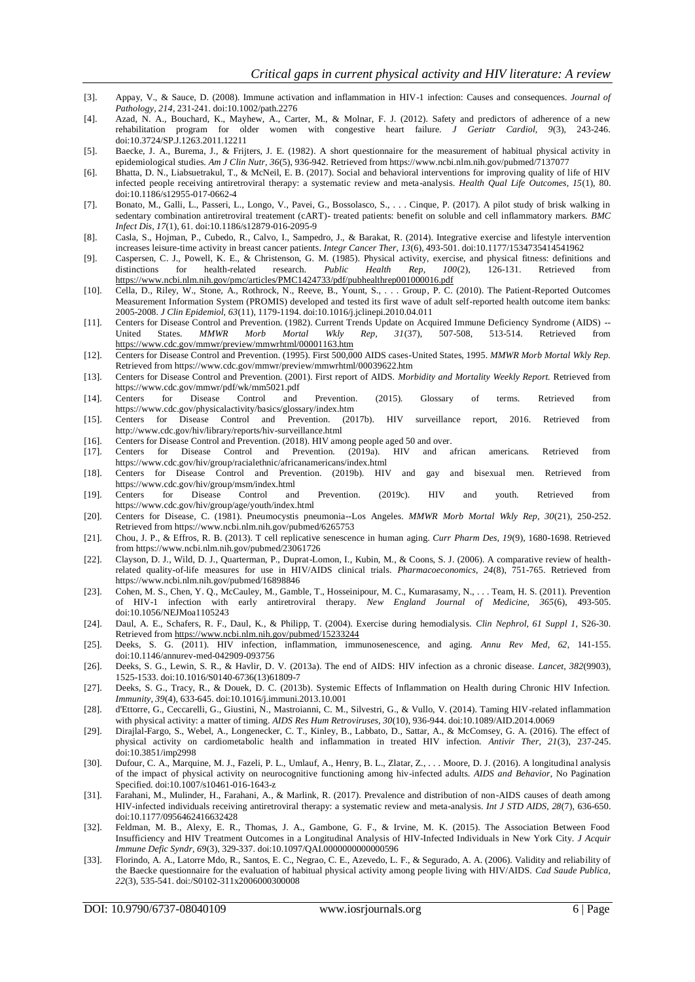- [3]. Appay, V., & Sauce, D. (2008). Immune activation and inflammation in HIV-1 infection: Causes and consequences. *Journal of Pathology, 214*, 231-241. doi:10.1002/path.2276
- [4]. Azad, N. A., Bouchard, K., Mayhew, A., Carter, M., & Molnar, F. J. (2012). Safety and predictors of adherence of a new rehabilitation program for older women with congestive heart failure. *J Geriatr Cardiol, 9*(3), 243-246. doi:10.3724/SP.J.1263.2011.12211
- [5]. Baecke, J. A., Burema, J., & Frijters, J. E. (1982). A short questionnaire for the measurement of habitual physical activity in epidemiological studies. *Am J Clin Nutr, 36*(5), 936-942. Retrieved from https://www.ncbi.nlm.nih.gov/pubmed/7137077
- [6]. Bhatta, D. N., Liabsuetrakul, T., & McNeil, E. B. (2017). Social and behavioral interventions for improving quality of life of HIV infected people receiving antiretroviral therapy: a systematic review and meta-analysis. *Health Qual Life Outcomes, 15*(1), 80. doi:10.1186/s12955-017-0662-4
- [7]. Bonato, M., Galli, L., Passeri, L., Longo, V., Pavei, G., Bossolasco, S., . . . Cinque, P. (2017). A pilot study of brisk walking in sedentary combination antiretroviral treatement (cART)- treated patients: benefit on soluble and cell inflammatory markers. *BMC Infect Dis, 17*(1), 61. doi:10.1186/s12879-016-2095-9
- [8]. Casla, S., Hojman, P., Cubedo, R., Calvo, I., Sampedro, J., & Barakat, R. (2014). Integrative exercise and lifestyle intervention increases leisure-time activity in breast cancer patients. *Integr Cancer Ther, 13*(6), 493-501. doi:10.1177/1534735414541962
- [9]. Caspersen, C. J., Powell, K. E., & Christenson, G. M. (1985). Physical activity, exercise, and physical fitness: definitions and distinctions for health-related research. *Public Health Rep, 100(2)*, 126-131. Retrieve distinctions for health-related research. *Public Health Rep, 100*(2), 126-131. Retrieved from <https://www.ncbi.nlm.nih.gov/pmc/articles/PMC1424733/pdf/pubhealthrep001000016.pdf>
- [10]. Cella, D., Riley, W., Stone, A., Rothrock, N., Reeve, B., Yount, S., . . . Group, P. C. (2010). The Patient-Reported Outcomes Measurement Information System (PROMIS) developed and tested its first wave of adult self-reported health outcome item banks: 2005-2008. *J Clin Epidemiol, 63*(11), 1179-1194. doi:10.1016/j.jclinepi.2010.04.011
- [11]. Centers for Disease Control and Prevention. (1982). Current Trends Update on Acquired Immune Deficiency Syndrome (AIDS) -- United States. *MMWR Morb Mortal Wkly Rep, 31*(37), 507-508, 513-514. Retrieved from <https://www.cdc.gov/mmwr/preview/mmwrhtml/00001163.htm>
- [12]. Centers for Disease Control and Prevention. (1995). First 500,000 AIDS cases-United States, 1995. *MMWR Morb Mortal Wkly Rep.* Retrieved from https://www.cdc.gov/mmwr/preview/mmwrhtml/00039622.htm
- [13]. Centers for Disease Control and Prevention. (2001). First report of AIDS. *Morbidity and Mortality Weekly Report.* Retrieved from https://www.cdc.gov/mmwr/pdf/wk/mm5021.pdf
- [14]. Centers for Disease Control and Prevention. (2015). Glossary of terms. Retrieved from https://www.cdc.gov/physicalactivity/basics/glossary/index.htm<br>Centers for Disease Control and Prevention. (2017b).
- [15]. Centers for Disease Control and Prevention. (2017b). HIV surveillance report, 2016. Retrieved from http://www.cdc.gov/hiv/library/reports/hiv-surveillance.html
- [16]. Centers for Disease Control and Prevention. (2018). HIV among people aged 50 and over.<br>[17]. Centers for Disease Control and Prevention. (2019a). HIV and african
- [17]. Centers for Disease Control and Prevention. (2019a). HIV and african americans. Retrieved from https://www.cdc.gov/hiv/group/racialethnic/africanamericans/index.html
- [18]. Centers for Disease Control and Prevention. (2019b). HIV and gay and bisexual men. Retrieved from https://www.cdc.gov/hiv/group/msm/index.html
- [19]. Centers for Disease Control and Prevention. (2019c). HIV and youth. Retrieved from https://www.cdc.gov/hiv/group/age/youth/index.html
- [20]. Centers for Disease, C. (1981). Pneumocystis pneumonia--Los Angeles. *MMWR Morb Mortal Wkly Rep, 30*(21), 250-252. Retrieved from https://www.ncbi.nlm.nih.gov/pubmed/6265753
- [21]. Chou, J. P., & Effros, R. B. (2013). T cell replicative senescence in human aging. *Curr Pharm Des, 19*(9), 1680-1698. Retrieved from https://www.ncbi.nlm.nih.gov/pubmed/23061726
- [22]. Clayson, D. J., Wild, D. J., Quarterman, P., Duprat-Lomon, I., Kubin, M., & Coons, S. J. (2006). A comparative review of healthrelated quality-of-life measures for use in HIV/AIDS clinical trials. *Pharmacoeconomics, 24*(8), 751-765. Retrieved from https://www.ncbi.nlm.nih.gov/pubmed/16898846
- [23]. Cohen, M. S., Chen, Y. Q., McCauley, M., Gamble, T., Hosseinipour, M. C., Kumarasamy, N., . . . Team, H. S. (2011). Prevention of HIV-1 infection with early antiretroviral therapy. *New England Journal of Medicine, 365*(6), 493-505. doi:10.1056/NEJMoa1105243
- [24]. Daul, A. E., Schafers, R. F., Daul, K., & Philipp, T. (2004). Exercise during hemodialysis. *Clin Nephrol, 61 Suppl 1*, S26-30. Retrieved fro[m https://www.ncbi.nlm.nih.gov/pubmed/15233244](https://www.ncbi.nlm.nih.gov/pubmed/15233244)
- [25]. Deeks, S. G. (2011). HIV infection, inflammation, immunosenescence, and aging. *Annu Rev Med, 62*, 141-155. doi:10.1146/annurev-med-042909-093756
- [26]. Deeks, S. G., Lewin, S. R., & Havlir, D. V. (2013a). The end of AIDS: HIV infection as a chronic disease. *Lancet, 382*(9903), 1525-1533. doi:10.1016/S0140-6736(13)61809-7
- [27]. Deeks, S. G., Tracy, R., & Douek, D. C. (2013b). Systemic Effects of Inflammation on Health during Chronic HIV Infection. *Immunity, 39*(4), 633-645. doi:10.1016/j.immuni.2013.10.001
- [28]. d'Ettorre, G., Ceccarelli, G., Giustini, N., Mastroianni, C. M., Silvestri, G., & Vullo, V. (2014). Taming HIV-related inflammation with physical activity: a matter of timing. *AIDS Res Hum Retroviruses, 30*(10), 936-944. doi:10.1089/AID.2014.0069
- [29]. Dirajlal-Fargo, S., Webel, A., Longenecker, C. T., Kinley, B., Labbato, D., Sattar, A., & McComsey, G. A. (2016). The effect of physical activity on cardiometabolic health and inflammation in treated HIV infection. *Antivir Ther, 21*(3), 237-245. doi:10.3851/imp2998
- [30]. Dufour, C. A., Marquine, M. J., Fazeli, P. L., Umlauf, A., Henry, B. L., Zlatar, Z., . . . Moore, D. J. (2016). A longitudinal analysis of the impact of physical activity on neurocognitive functioning among hiv-infected adults. *AIDS and Behavior*, No Pagination Specified. doi:10.1007/s10461-016-1643-z
- [31]. Farahani, M., Mulinder, H., Farahani, A., & Marlink, R. (2017). Prevalence and distribution of non-AIDS causes of death among HIV-infected individuals receiving antiretroviral therapy: a systematic review and meta-analysis. *Int J STD AIDS, 28*(7), 636-650. doi:10.1177/0956462416632428
- [32]. Feldman, M. B., Alexy, E. R., Thomas, J. A., Gambone, G. F., & Irvine, M. K. (2015). The Association Between Food Insufficiency and HIV Treatment Outcomes in a Longitudinal Analysis of HIV-Infected Individuals in New York City. *J Acquir Immune Defic Syndr, 69*(3), 329-337. doi:10.1097/QAI.0000000000000596
- [33]. Florindo, A. A., Latorre Mdo, R., Santos, E. C., Negrao, C. E., Azevedo, L. F., & Segurado, A. A. (2006). Validity and reliability of the Baecke questionnaire for the evaluation of habitual physical activity among people living with HIV/AIDS. *Cad Saude Publica, 22*(3), 535-541. doi:/S0102-311x2006000300008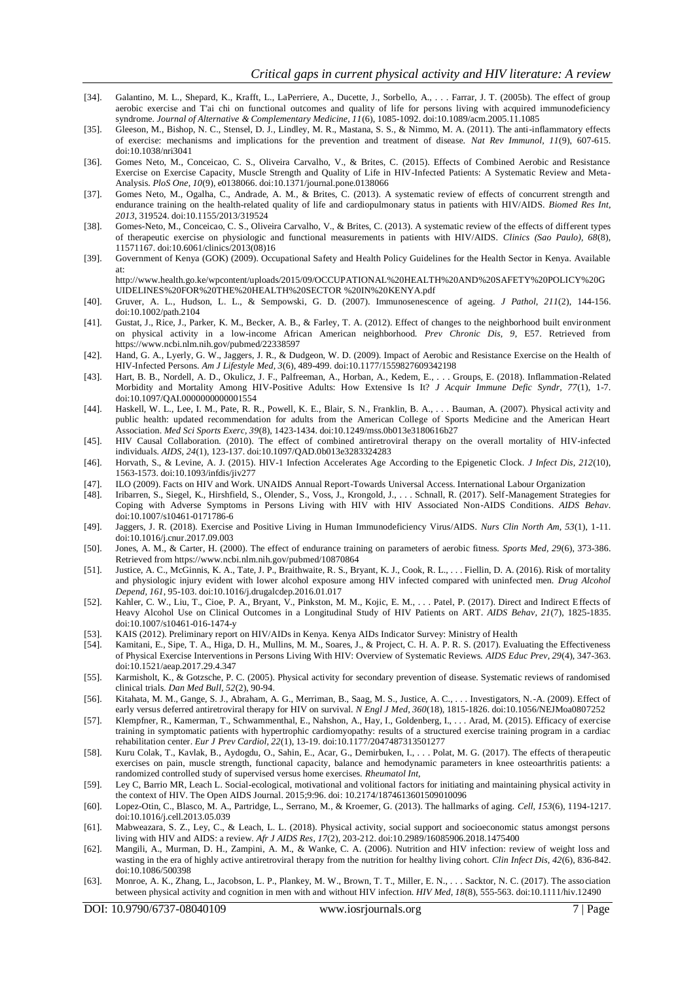- [34]. Galantino, M. L., Shepard, K., Krafft, L., LaPerriere, A., Ducette, J., Sorbello, A., . . . Farrar, J. T. (2005b). The effect of group aerobic exercise and T'ai chi on functional outcomes and quality of life for persons living with acquired immunodeficiency syndrome. *Journal of Alternative & Complementary Medicine, 11*(6), 1085-1092. doi:10.1089/acm.2005.11.1085
- [35]. Gleeson, M., Bishop, N. C., Stensel, D. J., Lindley, M. R., Mastana, S. S., & Nimmo, M. A. (2011). The anti-inflammatory effects of exercise: mechanisms and implications for the prevention and treatment of disease. *Nat Rev Immunol, 11*(9), 607-615. doi:10.1038/nri3041
- [36]. Gomes Neto, M., Conceicao, C. S., Oliveira Carvalho, V., & Brites, C. (2015). Effects of Combined Aerobic and Resistance Exercise on Exercise Capacity, Muscle Strength and Quality of Life in HIV-Infected Patients: A Systematic Review and Meta-Analysis. *PloS One, 10*(9), e0138066. doi:10.1371/journal.pone.0138066
- [37]. Gomes Neto, M., Ogalha, C., Andrade, A. M., & Brites, C. (2013). A systematic review of effects of concurrent strength and endurance training on the health-related quality of life and cardiopulmonary status in patients with HIV/AIDS. *Biomed Res Int, 2013*, 319524. doi:10.1155/2013/319524
- [38]. Gomes-Neto, M., Conceicao, C. S., Oliveira Carvalho, V., & Brites, C. (2013). A systematic review of the effects of different types of therapeutic exercise on physiologic and functional measurements in patients with HIV/AIDS. *Clinics (Sao Paulo), 68*(8), 11571167. doi:10.6061/clinics/2013(08)16
- [39]. Government of Kenya (GOK) (2009). Occupational Safety and Health Policy Guidelines for the Health Sector in Kenya. Available at:
- http://www.health.go.ke/wpcontent/uploads/2015/09/OCCUPATIONAL%20HEALTH%20AND%20SAFETY%20POLICY%20G UIDELINES%20FOR%20THE%20HEALTH%20SECTOR %20IN%20KENYA.pdf
- [40]. Gruver, A. L., Hudson, L. L., & Sempowski, G. D. (2007). Immunosenescence of ageing. *J Pathol, 211*(2), 144-156. doi:10.1002/path.2104
- [41]. Gustat, J., Rice, J., Parker, K. M., Becker, A. B., & Farley, T. A. (2012). Effect of changes to the neighborhood built environment on physical activity in a low-income African American neighborhood. *Prev Chronic Dis, 9*, E57. Retrieved from https://www.ncbi.nlm.nih.gov/pubmed/22338597
- [42]. Hand, G. A., Lyerly, G. W., Jaggers, J. R., & Dudgeon, W. D. (2009). Impact of Aerobic and Resistance Exercise on the Health of HIV-Infected Persons. *Am J Lifestyle Med, 3*(6), 489-499. doi:10.1177/1559827609342198
- [43]. Hart, B. B., Nordell, A. D., Okulicz, J. F., Palfreeman, A., Horban, A., Kedem, E., . . . Groups, E. (2018). Inflammation-Related Morbidity and Mortality Among HIV-Positive Adults: How Extensive Is It? *J Acquir Immune Defic Syndr, 77*(1), 1-7. doi:10.1097/QAI.0000000000001554
- [44]. Haskell, W. L., Lee, I. M., Pate, R. R., Powell, K. E., Blair, S. N., Franklin, B. A., . . . Bauman, A. (2007). Physical activity and public health: updated recommendation for adults from the American College of Sports Medicine and the American Heart Association. *Med Sci Sports Exerc, 39*(8), 1423-1434. doi:10.1249/mss.0b013e3180616b27
- [45]. HIV Causal Collaboration. (2010). The effect of combined antiretroviral therapy on the overall mortality of HIV-infected individuals. *AIDS, 24*(1), 123-137. doi:10.1097/QAD.0b013e3283324283
- [46]. Horvath, S., & Levine, A. J. (2015). HIV-1 Infection Accelerates Age According to the Epigenetic Clock. *J Infect Dis, 212*(10), 1563-1573. doi:10.1093/infdis/jiv277
- [47]. ILO (2009). Facts on HIV and Work. UNAIDS Annual Report-Towards Universal Access. International Labour Organization
- [48]. Iribarren, S., Siegel, K., Hirshfield, S., Olender, S., Voss, J., Krongold, J., . . . Schnall, R. (2017). Self-Management Strategies for Coping with Adverse Symptoms in Persons Living with HIV with HIV Associated Non-AIDS Conditions. *AIDS Behav*. doi:10.1007/s10461-0171786-6
- [49]. Jaggers, J. R. (2018). Exercise and Positive Living in Human Immunodeficiency Virus/AIDS. *Nurs Clin North Am, 53*(1), 1-11. doi:10.1016/j.cnur.2017.09.003
- [50]. Jones, A. M., & Carter, H. (2000). The effect of endurance training on parameters of aerobic fitness. *Sports Med, 29*(6), 373-386. Retrieved from https://www.ncbi.nlm.nih.gov/pubmed/10870864
- [51]. Justice, A. C., McGinnis, K. A., Tate, J. P., Braithwaite, R. S., Bryant, K. J., Cook, R. L., . . . Fiellin, D. A. (2016). Risk of mortality and physiologic injury evident with lower alcohol exposure among HIV infected compared with uninfected men. *Drug Alcohol Depend, 161*, 95-103. doi:10.1016/j.drugalcdep.2016.01.017
- [52]. Kahler, C. W., Liu, T., Cioe, P. A., Bryant, V., Pinkston, M. M., Kojic, E. M., . . . Patel, P. (2017). Direct and Indirect Effects of Heavy Alcohol Use on Clinical Outcomes in a Longitudinal Study of HIV Patients on ART. *AIDS Behav, 21*(7), 1825-1835. doi:10.1007/s10461-016-1474-y
- [53]. KAIS (2012). Preliminary report on HIV/AIDs in Kenya. Kenya AIDs Indicator Survey: Ministry of Health [54]. Kamitani, E., Sipe, T. A., Higa, D. H., Mullins, M. M., Soares, J., & Project, C. H. A. P. R. S. (2017). Eva
- Kamitani, E., Sipe, T. A., Higa, D. H., Mullins, M. M., Soares, J., & Project, C. H. A. P. R. S. (2017). Evaluating the Effectiveness of Physical Exercise Interventions in Persons Living With HIV: Overview of Systematic Reviews. *AIDS Educ Prev, 29*(4), 347-363. doi:10.1521/aeap.2017.29.4.347
- [55]. Karmisholt, K., & Gotzsche, P. C. (2005). Physical activity for secondary prevention of disease. Systematic reviews of randomised clinical trials. *Dan Med Bull, 52*(2), 90-94.
- [56]. Kitahata, M. M., Gange, S. J., Abraham, A. G., Merriman, B., Saag, M. S., Justice, A. C., . . . Investigators, N.-A. (2009). Effect of early versus deferred antiretroviral therapy for HIV on survival. *N Engl J Med, 360*(18), 1815-1826. doi:10.1056/NEJMoa0807252
- [57]. Klempfner, R., Kamerman, T., Schwammenthal, E., Nahshon, A., Hay, I., Goldenberg, I., . . . Arad, M. (2015). Efficacy of exercise training in symptomatic patients with hypertrophic cardiomyopathy: results of a structured exercise training program in a cardiac rehabilitation center. *Eur J Prev Cardiol, 22*(1), 13-19. doi:10.1177/2047487313501277
- [58]. Kuru Colak, T., Kavlak, B., Aydogdu, O., Sahin, E., Acar, G., Demirbuken, I., . . . Polat, M. G. (2017). The effects of therapeutic exercises on pain, muscle strength, functional capacity, balance and hemodynamic parameters in knee osteoarthritis patients: a randomized controlled study of supervised versus home exercises. *Rheumatol Int,*
- [59]. Ley C, Barrio MR, Leach L. Social-ecological, motivational and volitional factors for initiating and maintaining physical activity in the context of HIV. The Open AIDS Journal. 2015;9:96. doi: 10.2174/1874613601509010096
- [60]. Lopez-Otin, C., Blasco, M. A., Partridge, L., Serrano, M., & Kroemer, G. (2013). The hallmarks of aging. *Cell, 153*(6), 1194-1217. doi:10.1016/j.cell.2013.05.039
- [61]. Mabweazara, S. Z., Ley, C., & Leach, L. L. (2018). Physical activity, social support and socioeconomic status amongst persons living with HIV and AIDS: a review. *Afr J AIDS Res, 17*(2), 203-212. doi:10.2989/16085906.2018.1475400
- [62]. Mangili, A., Murman, D. H., Zampini, A. M., & Wanke, C. A. (2006). Nutrition and HIV infection: review of weight loss and wasting in the era of highly active antiretroviral therapy from the nutrition for healthy living cohort. *Clin Infect Dis, 42*(6), 836-842. doi:10.1086/500398
- [63]. Monroe, A. K., Zhang, L., Jacobson, L. P., Plankey, M. W., Brown, T. T., Miller, E. N., . . . Sacktor, N. C. (2017). The association between physical activity and cognition in men with and without HIV infection. *HIV Med, 18*(8), 555-563. doi:10.1111/hiv.12490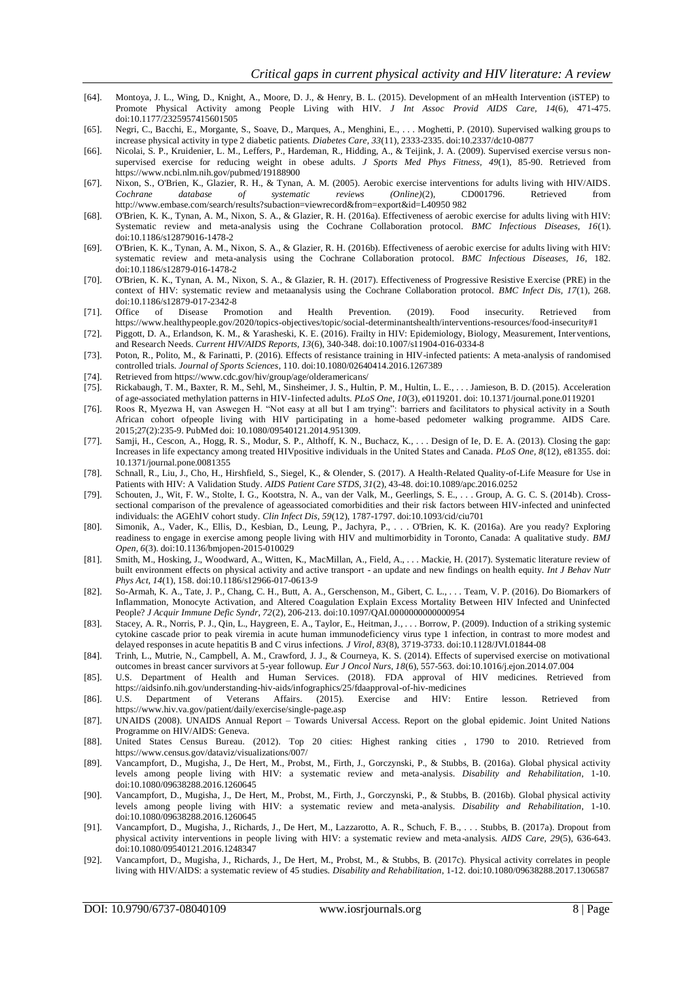- [64]. Montoya, J. L., Wing, D., Knight, A., Moore, D. J., & Henry, B. L. (2015). Development of an mHealth Intervention (iSTEP) to Promote Physical Activity among People Living with HIV. *J Int Assoc Provid AIDS Care, 14*(6), 471-475. doi:10.1177/2325957415601505
- [65]. Negri, C., Bacchi, E., Morgante, S., Soave, D., Marques, A., Menghini, E., . . . Moghetti, P. (2010). Supervised walking groups to increase physical activity in type 2 diabetic patients. *Diabetes Care, 33*(11), 2333-2335. doi:10.2337/dc10-0877
- [66]. Nicolai, S. P., Kruidenier, L. M., Leffers, P., Hardeman, R., Hidding, A., & Teijink, J. A. (2009). Supervised exercise versu s nonsupervised exercise for reducing weight in obese adults. *J Sports Med Phys Fitness, 49*(1), 85-90. Retrieved from https://www.ncbi.nlm.nih.gov/pubmed/19188900
- [67]. Nixon, S., O'Brien, K., Glazier, R. H., & Tynan, A. M. (2005). Aerobic exercise interventions for adults living with HIV/AIDS. *Cochrane database of systematic reviews (Online)*(2), CD001796. Retrieved from http://www.embase.com/search/results?subaction=viewrecord&from=export&id=L40950 982
- [68]. O'Brien, K. K., Tynan, A. M., Nixon, S. A., & Glazier, R. H. (2016a). Effectiveness of aerobic exercise for adults living with HIV: Systematic review and meta-analysis using the Cochrane Collaboration protocol. *BMC Infectious Diseases, 16*(1). doi:10.1186/s12879016-1478-2
- [69]. O'Brien, K. K., Tynan, A. M., Nixon, S. A., & Glazier, R. H. (2016b). Effectiveness of aerobic exercise for adults living with HIV: systematic review and meta-analysis using the Cochrane Collaboration protocol. *BMC Infectious Diseases, 16*, 182. doi:10.1186/s12879-016-1478-2
- [70]. O'Brien, K. K., Tynan, A. M., Nixon, S. A., & Glazier, R. H. (2017). Effectiveness of Progressive Resistive Exercise (PRE) in the context of HIV: systematic review and metaanalysis using the Cochrane Collaboration protocol. *BMC Infect Dis, 17*(1), 268. doi:10.1186/s12879-017-2342-8
- [71]. Office of Disease Promotion and Health Prevention. (2019). Food insecurity. Retrieved from https://www.healthypeople.gov/2020/topics-objectives/topic/social-determinantshealth/interventions-resources/food-insecurity#1
- [72]. Piggott, D. A., Erlandson, K. M., & Yarasheski, K. E. (2016). Frailty in HIV: Epidemiology, Biology, Measurement, Interventions, and Research Needs. *Current HIV/AIDS Reports, 13*(6), 340-348. doi:10.1007/s11904-016-0334-8
- [73]. Poton, R., Polito, M., & Farinatti, P. (2016). Effects of resistance training in HIV-infected patients: A meta-analysis of randomised controlled trials. *Journal of Sports Sciences*, 110. doi:10.1080/02640414.2016.1267389
- [74]. Retrieved from https://www.cdc.gov/hiv/group/age/olderamericans/
- [75]. Rickabaugh, T. M., Baxter, R. M., Sehl, M., Sinsheimer, J. S., Hultin, P. M., Hultin, L. E., . . . Jamieson, B. D. (2015). Acceleration of age-associated methylation patterns in HIV-1infected adults. *PLoS One, 10*(3), e0119201. doi: 10.1371/journal.pone.0119201
- [76]. Roos R, Myezwa H, van Aswegen H. "Not easy at all but I am trying": barriers and facilitators to physical activity in a South African cohort ofpeople living with HIV participating in a home-based pedometer walking programme. AIDS Care. 2015;27(2):235-9. PubMed doi: 10.1080/09540121.2014.951309.
- [77]. Samji, H., Cescon, A., Hogg, R. S., Modur, S. P., Althoff, K. N., Buchacz, K., . . . Design of Ie, D. E. A. (2013). Closing the gap: Increases in life expectancy among treated HIVpositive individuals in the United States and Canada. *PLoS One, 8*(12), e81355. doi: 10.1371/journal.pone.0081355
- [78]. Schnall, R., Liu, J., Cho, H., Hirshfield, S., Siegel, K., & Olender, S. (2017). A Health-Related Quality-of-Life Measure for Use in Patients with HIV: A Validation Study. *AIDS Patient Care STDS, 31*(2), 43-48. doi:10.1089/apc.2016.0252
- [79]. Schouten, J., Wit, F. W., Stolte, I. G., Kootstra, N. A., van der Valk, M., Geerlings, S. E., . . . Group, A. G. C. S. (2014b). Crosssectional comparison of the prevalence of ageassociated comorbidities and their risk factors between HIV-infected and uninfected individuals: the AGEhIV cohort study. *Clin Infect Dis, 59*(12), 1787-1797. doi:10.1093/cid/ciu701
- [80]. Simonik, A., Vader, K., Ellis, D., Kesbian, D., Leung, P., Jachyra, P., . . . O'Brien, K. K. (2016a). Are you ready? Exploring readiness to engage in exercise among people living with HIV and multimorbidity in Toronto, Canada: A qualitative study. *BMJ Open, 6*(3). doi:10.1136/bmjopen-2015-010029
- [81]. Smith, M., Hosking, J., Woodward, A., Witten, K., MacMillan, A., Field, A., . . . Mackie, H. (2017). Systematic literature review of built environment effects on physical activity and active transport - an update and new findings on health equity. *Int J Behav Nutr Phys Act, 14*(1), 158. doi:10.1186/s12966-017-0613-9
- [82]. So-Armah, K. A., Tate, J. P., Chang, C. H., Butt, A. A., Gerschenson, M., Gibert, C. L., . . . Team, V. P. (2016). Do Biomarkers of Inflammation, Monocyte Activation, and Altered Coagulation Explain Excess Mortality Between HIV Infected and Uninfected People? *J Acquir Immune Defic Syndr, 72*(2), 206-213. doi:10.1097/QAI.0000000000000954
- [83]. Stacey, A. R., Norris, P. J., Qin, L., Haygreen, E. A., Taylor, E., Heitman, J., . . . Borrow, P. (2009). Induction of a striking systemic cytokine cascade prior to peak viremia in acute human immunodeficiency virus type 1 infection, in contrast to more modest and delayed responses in acute hepatitis B and C virus infections. *J Virol, 83*(8), 3719-3733. doi:10.1128/JVI.01844-08
- [84]. Trinh, L., Mutrie, N., Campbell, A. M., Crawford, J. J., & Courneya, K. S. (2014). Effects of supervised exercise on motivational outcomes in breast cancer survivors at 5-year followup. *Eur J Oncol Nurs, 18*(6), 557-563. doi:10.1016/j.ejon.2014.07.004
- [85]. U.S. Department of Health and Human Services. (2018). FDA approval of HIV medicines. Retrieved from https://aidsinfo.nih.gov/understanding-hiv-aids/infographics/25/fdaapproval-of-hiv-medicines
- [86]. U.S. Department of Veterans Affairs. (2015). Exercise and HIV: Entire lesson. Retrieved from https://www.hiv.va.gov/patient/daily/exercise/single-page.asp
- [87]. UNAIDS (2008). UNAIDS Annual Report Towards Universal Access. Report on the global epidemic. Joint United Nations Programme on HIV/AIDS: Geneva.
- [88]. United States Census Bureau. (2012). Top 20 cities: Highest ranking cities , 1790 to 2010. Retrieved from https://www.census.gov/dataviz/visualizations/007/
- [89]. Vancampfort, D., Mugisha, J., De Hert, M., Probst, M., Firth, J., Gorczynski, P., & Stubbs, B. (2016a). Global physical activity levels among people living with HIV: a systematic review and meta-analysis. *Disability and Rehabilitation*, 1-10. doi:10.1080/09638288.2016.1260645
- [90]. Vancampfort, D., Mugisha, J., De Hert, M., Probst, M., Firth, J., Gorczynski, P., & Stubbs, B. (2016b). Global physical activity levels among people living with HIV: a systematic review and meta-analysis. *Disability and Rehabilitation*, 1-10. doi:10.1080/09638288.2016.1260645
- [91]. Vancampfort, D., Mugisha, J., Richards, J., De Hert, M., Lazzarotto, A. R., Schuch, F. B., . . . Stubbs, B. (2017a). Dropout from physical activity interventions in people living with HIV: a systematic review and meta-analysis. *AIDS Care, 29*(5), 636-643. doi:10.1080/09540121.2016.1248347
- [92]. Vancampfort, D., Mugisha, J., Richards, J., De Hert, M., Probst, M., & Stubbs, B. (2017c). Physical activity correlates in people living with HIV/AIDS: a systematic review of 45 studies. *Disability and Rehabilitation*, 1-12. doi:10.1080/09638288.2017.1306587